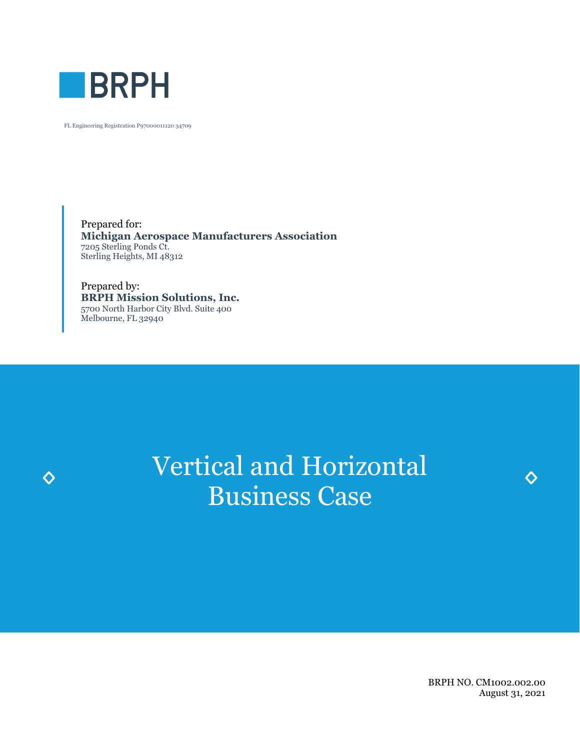

 $\Diamond$ 

FL Engineering Registration P97000011120 34709

Prepared for: **Michigan Aerospace Manufacturers Association** 7205 Sterling Ponds Ct. Sterling Heights, MI 48312

Prepared by: **BRPH Mission Solutions, Inc.** 5700 North Harbor City Blvd. Suite 400 Melbourne, FL 32940

# Vertical and Horizontal Business Case

BRPH NO. CM1002.002.00 August 31, 2021

♦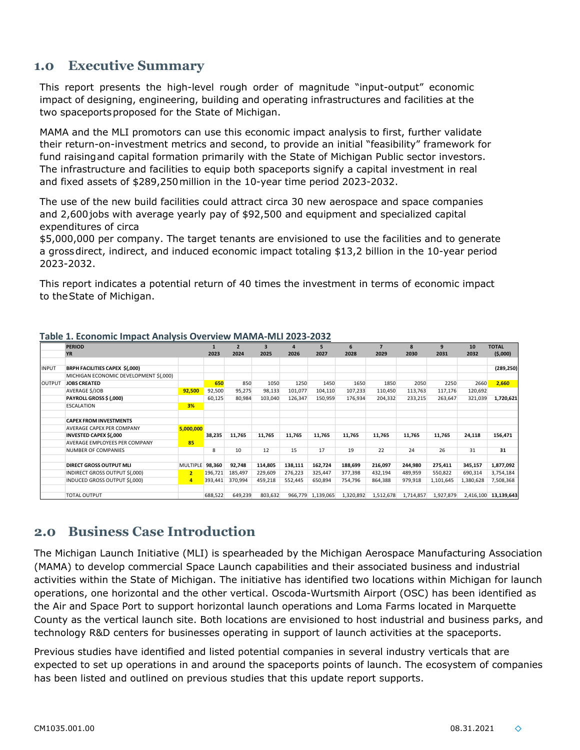#### **1.0 Executive Summary**

This report presents the high-level rough order of magnitude "input-output" economic impact of designing, engineering, building and operating infrastructures and facilities at the two spaceportsproposed for the State of Michigan.

MAMA and the MLI promotors can use this economic impact analysis to first, further validate their return-on-investment metrics and second, to provide an initial "feasibility" framework for fund raisingand capital formation primarily with the State of Michigan Public sector investors. The infrastructure and facilities to equip both spaceports signify a capital investment in real and fixed assets of \$289,250million in the 10-year time period 2023-2032.

The use of the new build facilities could attract circa 30 new aerospace and space companies and 2,600jobs with average yearly pay of \$92,500 and equipment and specialized capital expenditures of circa

\$5,000,000 per company. The target tenants are envisioned to use the facilities and to generate a grossdirect, indirect, and induced economic impact totaling \$13,2 billion in the 10-year period 2023-2032.

This report indicates a potential return of 40 times the investment in terms of economic impact to theState of Michigan.

|              | <b>PERIOD</b>                          |                 |         | $\overline{2}$ |         | $\Delta$ | 5                 | 6         |           | 8         | 9         | 10        | <b>TOTAL</b>         |
|--------------|----------------------------------------|-----------------|---------|----------------|---------|----------|-------------------|-----------|-----------|-----------|-----------|-----------|----------------------|
|              | <b>YR</b>                              |                 | 2023    | 2024           | 2025    | 2026     | 2027              | 2028      | 2029      | 2030      | 2031      | 2032      | (5,000)              |
|              |                                        |                 |         |                |         |          |                   |           |           |           |           |           |                      |
| <b>INPUT</b> | BRPH FACILITIES CAPEX \$(,000)         |                 |         |                |         |          |                   |           |           |           |           |           | (289, 250)           |
|              | MICHIGAN ECONOMIC DEVELOPMENT \$(,000) |                 |         |                |         |          |                   |           |           |           |           |           |                      |
| OUTPUT       | <b>JOBS CREATED</b>                    |                 | 650     | 850            | 1050    | 1250     | 1450              | 1650      | 1850      | 2050      | 2250      | 2660      | 2,660                |
|              | AVERAGE \$/JOB                         | 92,500          | 92,500  | 95,275         | 98,133  | 101,077  | 104,110           | 107,233   | 110,450   | 113,763   | 117,176   | 120,692   |                      |
|              | <b>PAYROLL GROSS \$ (,000)</b>         |                 | 60,125  | 80,984         | 103,040 | 126,347  | 150,959           | 176,934   | 204,332   | 233,215   | 263,647   | 321,039   | 1,720,621            |
|              | <b>ESCALATION</b>                      | 3%              |         |                |         |          |                   |           |           |           |           |           |                      |
|              |                                        |                 |         |                |         |          |                   |           |           |           |           |           |                      |
|              | <b>CAPEX FROM INVESTMENTS</b>          |                 |         |                |         |          |                   |           |           |           |           |           |                      |
|              | AVERAGE CAPEX PER COMPANY              | 5,000,000       |         |                |         |          |                   |           |           |           |           |           |                      |
|              | <b>INVESTED CAPEX \$(,000</b>          |                 | 38,235  | 11,765         | 11,765  | 11,765   | 11,765            | 11,765    | 11,765    | 11,765    | 11,765    | 24,118    | 156,471              |
|              | AVERAGE EMPLOYEES PER COMPANY          | 85              |         |                |         |          |                   |           |           |           |           |           |                      |
|              | <b>NUMBER OF COMPANIES</b>             |                 | 8       | 10             | 12      | 15       | 17                | 19        | 22        | 24        | 26        | 31        | 31                   |
|              |                                        |                 |         |                |         |          |                   |           |           |           |           |           |                      |
|              | <b>DIRECT GROSS OUTPUT MLI</b>         | <b>MULTIPLE</b> | 98,360  | 92,748         | 114,805 | 138,111  | 162,724           | 188,699   | 216,097   | 244,980   | 275,411   | 345,157   | 1,877,092            |
|              | INDIRECT GROSS OUTPUT \$(,000)         | $\overline{2}$  | 196,721 | 185,497        | 229,609 | 276,223  | 325,447           | 377,398   | 432,194   | 489,959   | 550,822   | 690,314   | 3,754,184            |
|              | INDUCED GROSS OUTPUT \$(,000)          | 4               | 393,441 | 370,994        | 459,218 | 552,445  | 650,894           | 754,796   | 864,388   | 979,918   | 1,101,645 | 1,380,628 | 7,508,368            |
|              | <b>TOTAL OUTPUT</b>                    |                 | 688,522 | 649,239        | 803,632 |          | 966,779 1,139,065 | 1,320,892 | 1,512,678 | 1,714,857 | 1,927,879 |           | 2,416,100 13,139,643 |

#### **Table 1. Economic Impact Analysis Overview MAMA-MLI 2023-2032**

### **2.0 Business Case Introduction**

The Michigan Launch Initiative (MLI) is spearheaded by the Michigan Aerospace Manufacturing Association (MAMA) to develop commercial Space Launch capabilities and their associated business and industrial activities within the State of Michigan. The initiative has identified two locations within Michigan for launch operations, one horizontal and the other vertical. Oscoda-Wurtsmith Airport (OSC) has been identified as the Air and Space Port to support horizontal launch operations and Loma Farms located in Marquette County as the vertical launch site. Both locations are envisioned to host industrial and business parks, and technology R&D centers for businesses operating in support of launch activities at the spaceports.

Previous studies have identified and listed potential companies in several industry verticals that are expected to set up operations in and around the spaceports points of launch. The ecosystem of companies has been listed and outlined on previous studies that this update report supports.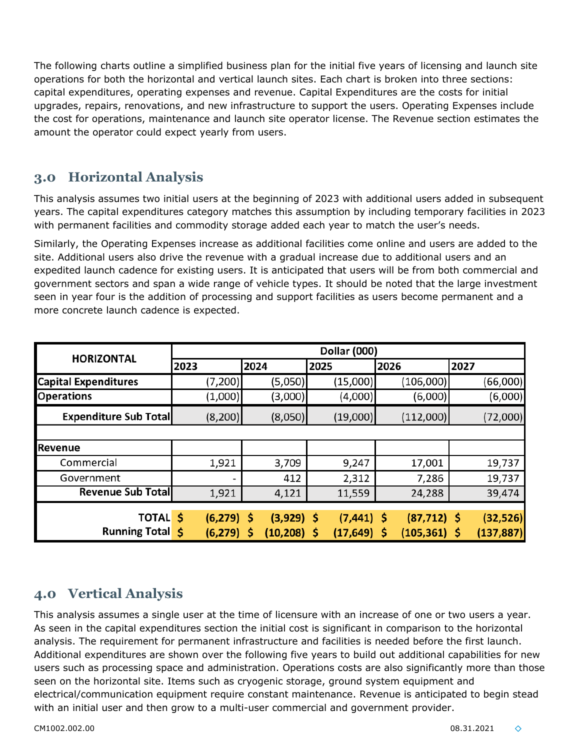The following charts outline a simplified business plan for the initial five years of licensing and launch site operations for both the horizontal and vertical launch sites. Each chart is broken into three sections: capital expenditures, operating expenses and revenue. Capital Expenditures are the costs for initial upgrades, repairs, renovations, and new infrastructure to support the users. Operating Expenses include the cost for operations, maintenance and launch site operator license. The Revenue section estimates the amount the operator could expect yearly from users.

## **3.0 Horizontal Analysis**

This analysis assumes two initial users at the beginning of 2023 with additional users added in subsequent years. The capital expenditures category matches this assumption by including temporary facilities in 2023 with permanent facilities and commodity storage added each year to match the user's needs.

Similarly, the Operating Expenses increase as additional facilities come online and users are added to the site. Additional users also drive the revenue with a gradual increase due to additional users and an expedited launch cadence for existing users. It is anticipated that users will be from both commercial and government sectors and span a wide range of vehicle types. It should be noted that the large investment seen in year four is the addition of processing and support facilities as users become permanent and a more concrete launch cadence is expected.

| <b>HORIZONTAL</b>            | <b>Dollar (000)</b>      |                |                |                 |            |  |  |  |  |
|------------------------------|--------------------------|----------------|----------------|-----------------|------------|--|--|--|--|
|                              | 2023                     | 2024           | 2025           | 2026            | 2027       |  |  |  |  |
| <b>Capital Expenditures</b>  | (7, 200)                 | (5,050)        | (15,000)       | (106,000)       | (66,000)   |  |  |  |  |
| <b>Operations</b>            | (1,000)                  | (3,000)        | (4,000)        | (6,000)         | (6,000)    |  |  |  |  |
| <b>Expenditure Sub Total</b> | (8, 200)                 | (8,050)        | (19,000)       | (112,000)       | (72,000)   |  |  |  |  |
|                              |                          |                |                |                 |            |  |  |  |  |
| Revenue                      |                          |                |                |                 |            |  |  |  |  |
| Commercial                   | 1,921                    | 3,709          | 9,247          | 17,001          | 19,737     |  |  |  |  |
| Government                   | $\overline{\phantom{a}}$ | 412            | 2,312          | 7,286           | 19,737     |  |  |  |  |
| <b>Revenue Sub Total</b>     | 1,921                    | 4,121          | 11,559         | 24,288          | 39,474     |  |  |  |  |
| <b>TOTAL \$</b>              | $(6, 279)$ \$            | $(3,929)$ \$   | $(7, 441)$ \$  | $(87, 712)$ \$  | (32, 526)  |  |  |  |  |
| <b>Running Total \$</b>      | $(6,279)$ \$             | $(10, 208)$ \$ | $(17, 649)$ \$ | $(105, 361)$ \$ | (137, 887) |  |  |  |  |

# **4.0 Vertical Analysis**

This analysis assumes a single user at the time of licensure with an increase of one or two users a year. As seen in the capital expenditures section the initial cost is significant in comparison to the horizontal analysis. The requirement for permanent infrastructure and facilities is needed before the first launch. Additional expenditures are shown over the following five years to build out additional capabilities for new users such as processing space and administration. Operations costs are also significantly more than those seen on the horizontal site. Items such as cryogenic storage, ground system equipment and electrical/communication equipment require constant maintenance. Revenue is anticipated to begin stead with an initial user and then grow to a multi-user commercial and government provider.